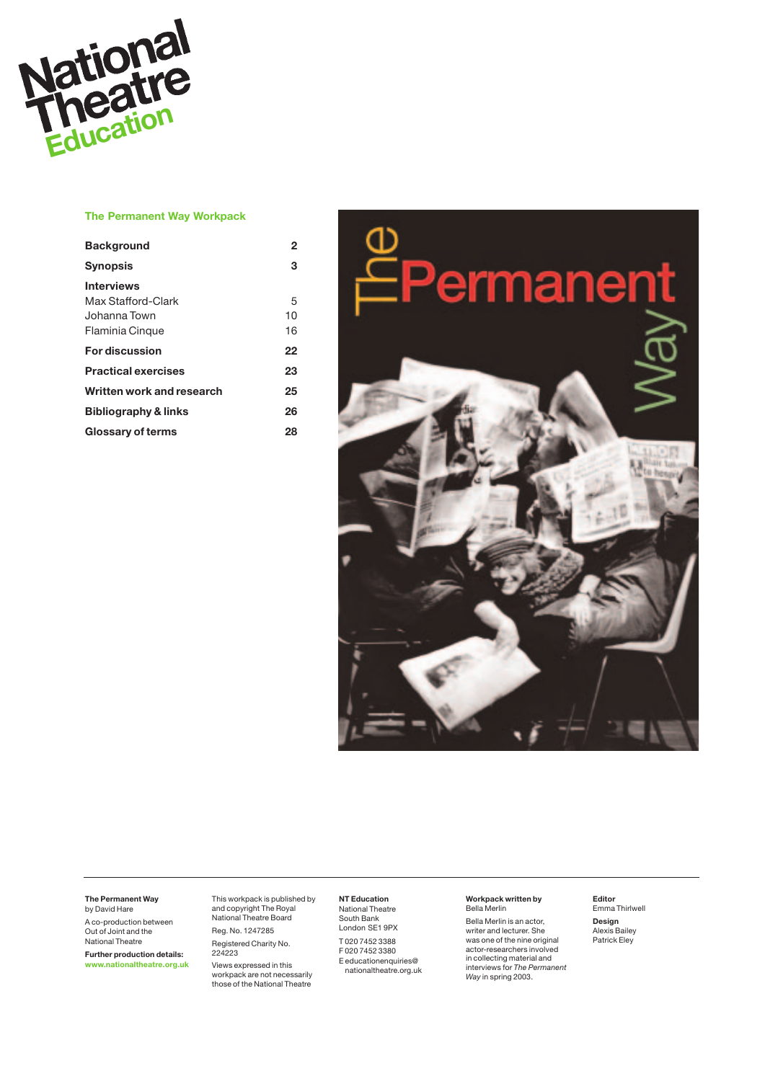

## **The Permanent Way Workpack**

| <b>Background</b>               | 2  |
|---------------------------------|----|
| <b>Synopsis</b>                 | 3  |
| <b>Interviews</b>               |    |
| Max Stafford-Clark              | 5  |
| Johanna Town                    | 10 |
| <b>Flaminia Cinque</b>          | 16 |
| <b>For discussion</b>           | 22 |
| <b>Practical exercises</b>      | 23 |
| Written work and research       | 25 |
| <b>Bibliography &amp; links</b> | 26 |
| Glossary of terms               | 28 |



#### **The Permanent Way** by David Hare

A co-production between Out of Joint and the National Theatre

**Further production details: www.nationaltheatre.org.uk**

This workpack is published by and copyright The Royal National Theatre Board Reg. No. 1247285

Registered Charity No. 224223 Views expressed in this

workpack are not necessarily those of the National Theatre

**NT Education**  National Theatre South Bank

London SE1 9PX T 020 7452 3388 F 020 7452 3380 E educationenquiries@

## nationaltheatre.org.uk

## **Workpack written by**  Bella Merlin

Bella Merlin is an actor, writer and lecturer. She was one of the nine original actor-researchers involved in collecting material and interviews for *The Permanent Way* in spring 2003.

**Editor**  Emma Thirlwell **Design**  Alexis Bailey Patrick Eley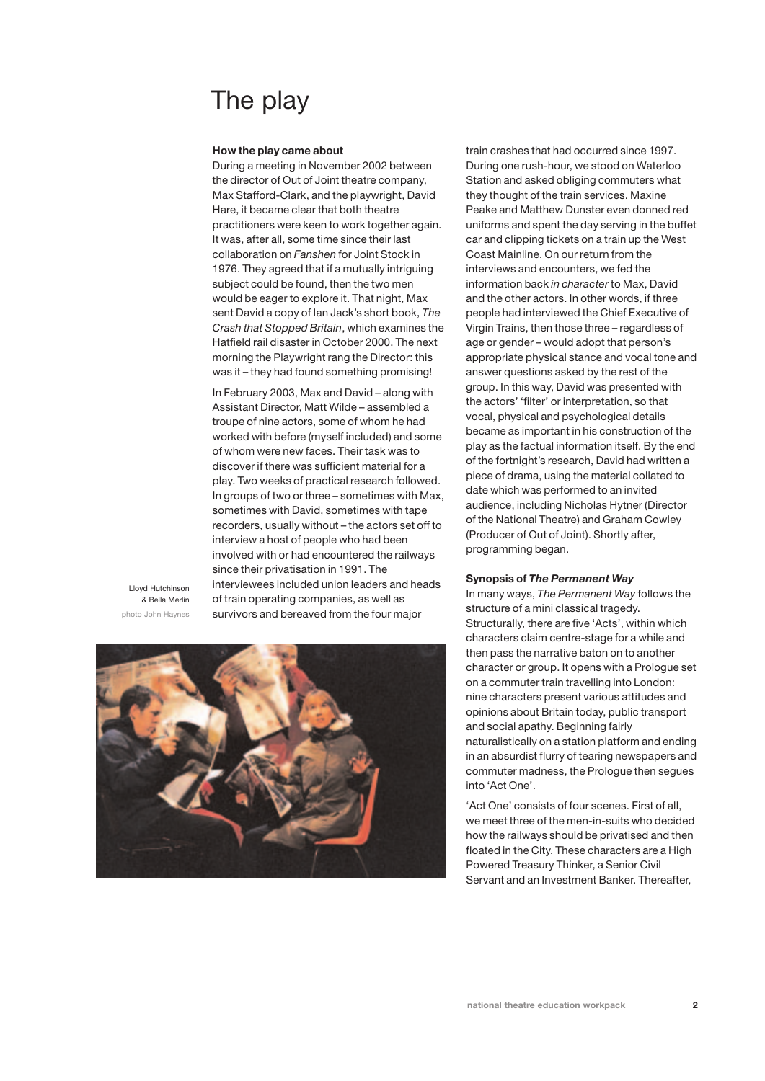# The play

#### **How the play came about**

During a meeting in November 2002 between the director of Out of Joint theatre company, Max Stafford-Clark, and the playwright, David Hare, it became clear that both theatre practitioners were keen to work together again. It was, after all, some time since their last collaboration on *Fanshen* for Joint Stock in 1976. They agreed that if a mutually intriguing subject could be found, then the two men would be eager to explore it. That night, Max sent David a copy of Ian Jack's short book, *The Crash that Stopped Britain*, which examines the Hatfield rail disaster in October 2000. The next morning the Playwright rang the Director: this was it – they had found something promising!

In February 2003, Max and David – along with Assistant Director, Matt Wilde – assembled a troupe of nine actors, some of whom he had worked with before (myself included) and some of whom were new faces. Their task was to discover if there was sufficient material for a play. Two weeks of practical research followed. In groups of two or three – sometimes with Max, sometimes with David, sometimes with tape recorders, usually without – the actors set off to interview a host of people who had been involved with or had encountered the railways since their privatisation in 1991. The interviewees included union leaders and heads of train operating companies, as well as survivors and bereaved from the four major

Lloyd Hutchinson & Bella Merlin photo John Haynes



train crashes that had occurred since 1997. During one rush-hour, we stood on Waterloo Station and asked obliging commuters what they thought of the train services. Maxine Peake and Matthew Dunster even donned red uniforms and spent the day serving in the buffet car and clipping tickets on a train up the West Coast Mainline. On our return from the interviews and encounters, we fed the information back *in character* to Max, David and the other actors. In other words, if three people had interviewed the Chief Executive of Virgin Trains, then those three – regardless of age or gender – would adopt that person's appropriate physical stance and vocal tone and answer questions asked by the rest of the group. In this way, David was presented with the actors' 'filter' or interpretation, so that vocal, physical and psychological details became as important in his construction of the play as the factual information itself. By the end of the fortnight's research, David had written a piece of drama, using the material collated to date which was performed to an invited audience, including Nicholas Hytner (Director of the National Theatre) and Graham Cowley (Producer of Out of Joint). Shortly after, programming began.

#### **Synopsis of** *The Permanent Way*

In many ways, *The Permanent Way* follows the structure of a mini classical tragedy. Structurally, there are five 'Acts', within which characters claim centre-stage for a while and then pass the narrative baton on to another character or group. It opens with a Prologue set on a commuter train travelling into London: nine characters present various attitudes and opinions about Britain today, public transport and social apathy. Beginning fairly naturalistically on a station platform and ending in an absurdist flurry of tearing newspapers and commuter madness, the Prologue then segues into 'Act One'.

'Act One' consists of four scenes. First of all, we meet three of the men-in-suits who decided how the railways should be privatised and then floated in the City. These characters are a High Powered Treasury Thinker, a Senior Civil Servant and an Investment Banker. Thereafter,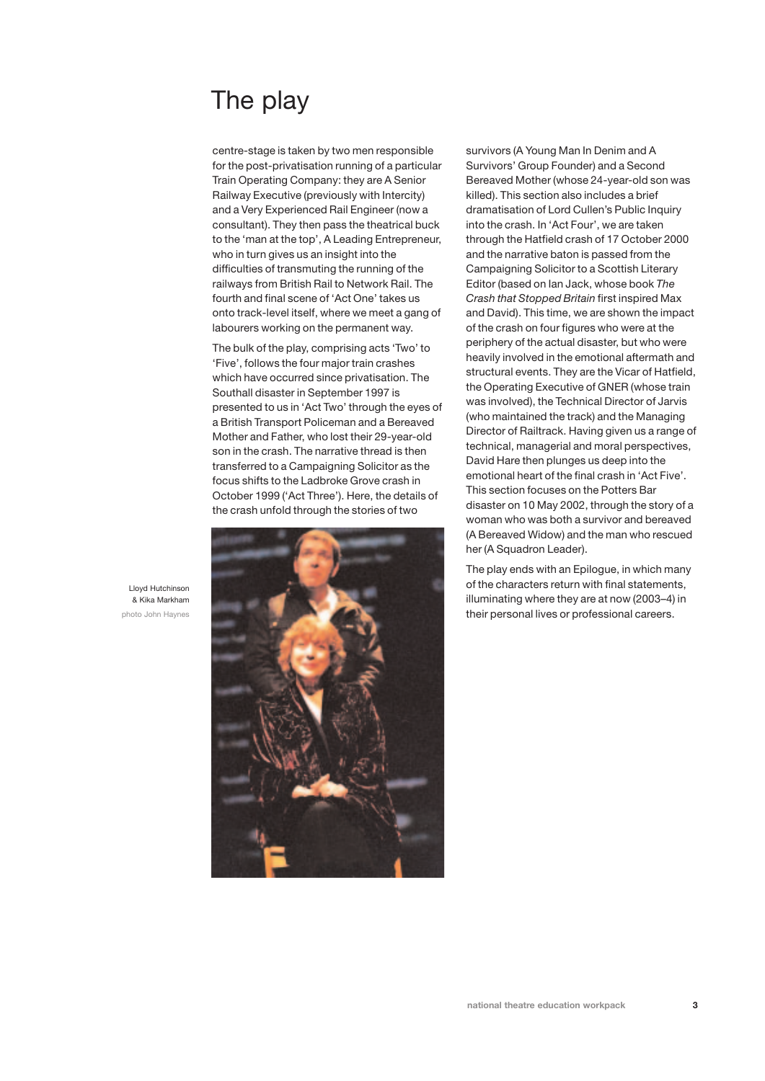# The play

centre-stage is taken by two men responsible for the post-privatisation running of a particular Train Operating Company: they are A Senior Railway Executive (previously with Intercity) and a Very Experienced Rail Engineer (now a consultant). They then pass the theatrical buck to the 'man at the top', A Leading Entrepreneur, who in turn gives us an insight into the difficulties of transmuting the running of the railways from British Rail to Network Rail. The fourth and final scene of 'Act One' takes us onto track-level itself, where we meet a gang of labourers working on the permanent way.

The bulk of the play, comprising acts 'Two' to 'Five', follows the four major train crashes which have occurred since privatisation. The Southall disaster in September 1997 is presented to us in 'Act Two' through the eyes of a British Transport Policeman and a Bereaved Mother and Father, who lost their 29-year-old son in the crash. The narrative thread is then transferred to a Campaigning Solicitor as the focus shifts to the Ladbroke Grove crash in October 1999 ('Act Three'). Here, the details of the crash unfold through the stories of two



survivors (A Young Man In Denim and A Survivors' Group Founder) and a Second Bereaved Mother (whose 24-year-old son was killed). This section also includes a brief dramatisation of Lord Cullen's Public Inquiry into the crash. In 'Act Four', we are taken through the Hatfield crash of 17 October 2000 and the narrative baton is passed from the Campaigning Solicitor to a Scottish Literary Editor (based on Ian Jack, whose book *The Crash that Stopped Britain* first inspired Max and David). This time, we are shown the impact of the crash on four figures who were at the periphery of the actual disaster, but who were heavily involved in the emotional aftermath and structural events. They are the Vicar of Hatfield, the Operating Executive of GNER (whose train was involved), the Technical Director of Jarvis (who maintained the track) and the Managing Director of Railtrack. Having given us a range of technical, managerial and moral perspectives, David Hare then plunges us deep into the emotional heart of the final crash in 'Act Five'. This section focuses on the Potters Bar disaster on 10 May 2002, through the story of a woman who was both a survivor and bereaved (A Bereaved Widow) and the man who rescued her (A Squadron Leader).

The play ends with an Epilogue, in which many of the characters return with final statements, illuminating where they are at now (2003–4) in their personal lives or professional careers.

Lloyd Hutchinson & Kika Markham photo John Haynes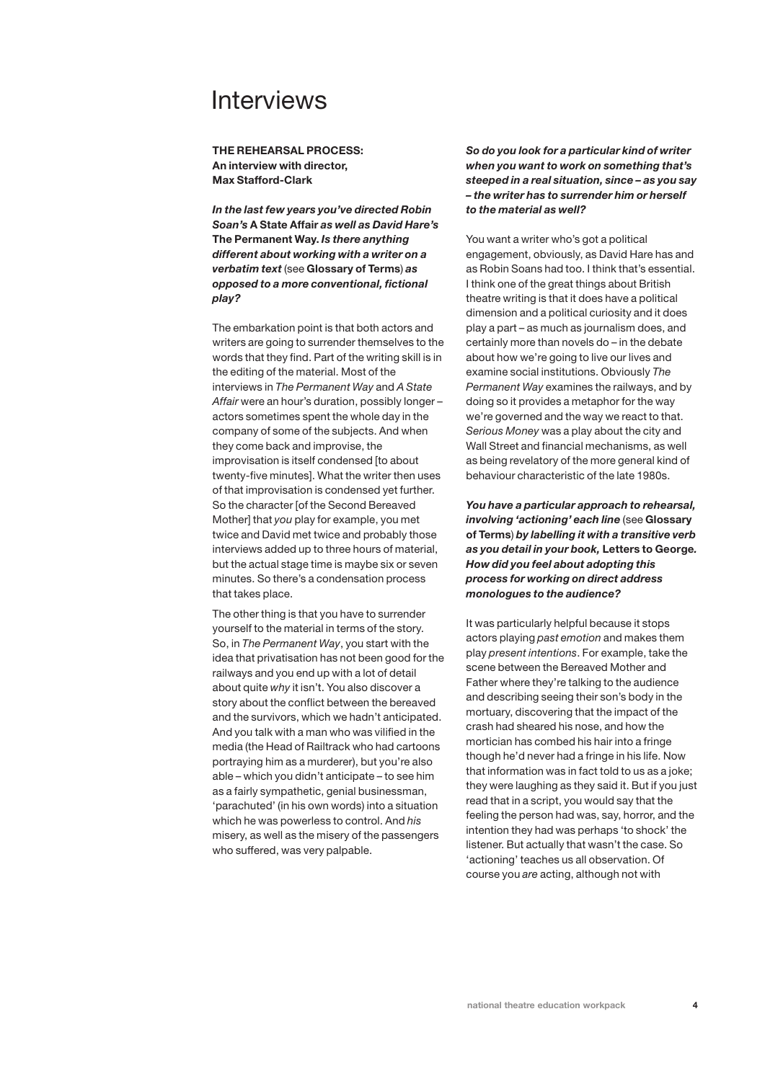**THE REHEARSAL PROCESS: An interview with director, Max Stafford-Clark**

*In the last few years you've directed Robin Soan's* **A State Affair** *as well as David Hare's* **The Permanent Way.** *Is there anything different about working with a writer on a verbatim text* (see **Glossary of Terms**) *as opposed to a more conventional, fictional play?*

The embarkation point is that both actors and writers are going to surrender themselves to the words that they find. Part of the writing skill is in the editing of the material. Most of the interviews in *The Permanent Way* and *A State Affair* were an hour's duration, possibly longer – actors sometimes spent the whole day in the company of some of the subjects. And when they come back and improvise, the improvisation is itself condensed [to about twenty-five minutes]. What the writer then uses of that improvisation is condensed yet further. So the character [of the Second Bereaved Mother] that *you* play for example, you met twice and David met twice and probably those interviews added up to three hours of material, but the actual stage time is maybe six or seven minutes. So there's a condensation process that takes place.

The other thing is that you have to surrender yourself to the material in terms of the story. So, in *The Permanent Way*, you start with the idea that privatisation has not been good for the railways and you end up with a lot of detail about quite *why* it isn't. You also discover a story about the conflict between the bereaved and the survivors, which we hadn't anticipated. And you talk with a man who was vilified in the media (the Head of Railtrack who had cartoons portraying him as a murderer), but you're also able – which you didn't anticipate – to see him as a fairly sympathetic, genial businessman, 'parachuted' (in his own words) into a situation which he was powerless to control. And *his* misery, as well as the misery of the passengers who suffered, was very palpable.

*So do you look for a particular kind of writer when you want to work on something that's steeped in a real situation, since – as you say – the writer has to surrender him or herself to the material as well?*

You want a writer who's got a political engagement, obviously, as David Hare has and as Robin Soans had too. I think that's essential. I think one of the great things about British theatre writing is that it does have a political dimension and a political curiosity and it does play a part – as much as journalism does, and certainly more than novels do – in the debate about how we're going to live our lives and examine social institutions. Obviously *The Permanent Way* examines the railways, and by doing so it provides a metaphor for the way we're governed and the way we react to that. *Serious Money* was a play about the city and Wall Street and financial mechanisms, as well as being revelatory of the more general kind of behaviour characteristic of the late 1980s.

*You have a particular approach to rehearsal, involving 'actioning' each line* (see **Glossary of Terms**) *by labelling it with a transitive verb as you detail in your book,* **Letters to George***. How did you feel about adopting this process for working on direct address monologues to the audience?*

It was particularly helpful because it stops actors playing *past emotion* and makes them play *present intentions*. For example, take the scene between the Bereaved Mother and Father where they're talking to the audience and describing seeing their son's body in the mortuary, discovering that the impact of the crash had sheared his nose, and how the mortician has combed his hair into a fringe though he'd never had a fringe in his life. Now that information was in fact told to us as a joke; they were laughing as they said it. But if you just read that in a script, you would say that the feeling the person had was, say, horror, and the intention they had was perhaps 'to shock' the listener. But actually that wasn't the case. So 'actioning' teaches us all observation. Of course you *are* acting, although not with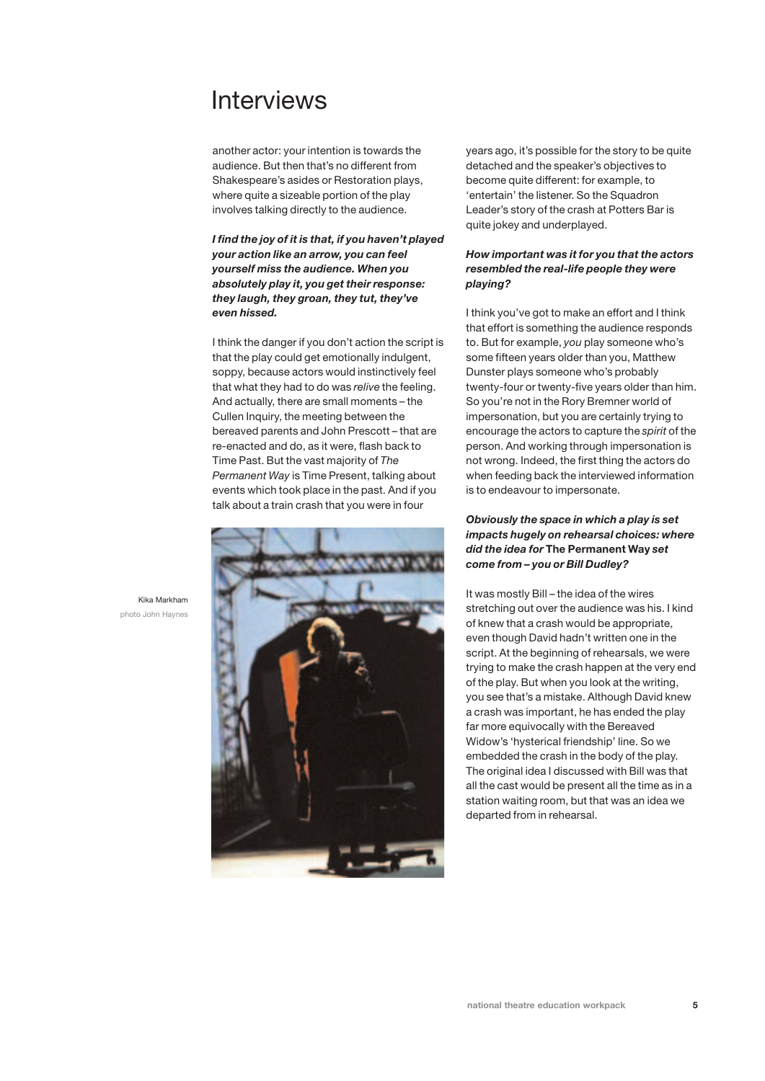another actor: your intention is towards the audience. But then that's no different from Shakespeare's asides or Restoration plays, where quite a sizeable portion of the play involves talking directly to the audience.

*I find the joy of it is that, if you haven't played your action like an arrow, you can feel yourself miss the audience. When you absolutely play it, you get their response: they laugh, they groan, they tut, they've even hissed.* 

I think the danger if you don't action the script is that the play could get emotionally indulgent, soppy, because actors would instinctively feel that what they had to do was *relive* the feeling. And actually, there are small moments – the Cullen Inquiry, the meeting between the bereaved parents and John Prescott – that are re-enacted and do, as it were, flash back to Time Past. But the vast majority of *The Permanent Way* is Time Present, talking about events which took place in the past. And if you talk about a train crash that you were in four



years ago, it's possible for the story to be quite detached and the speaker's objectives to become quite different: for example, to 'entertain' the listener. So the Squadron Leader's story of the crash at Potters Bar is quite jokey and underplayed.

## *How important was it for you that the actors resembled the real-life people they were playing?*

I think you've got to make an effort and I think that effort is something the audience responds to. But for example, *you* play someone who's some fifteen years older than you, Matthew Dunster plays someone who's probably twenty-four or twenty-five years older than him. So you're not in the Rory Bremner world of impersonation, but you are certainly trying to encourage the actors to capture the *spirit* of the person. And working through impersonation is not wrong. Indeed, the first thing the actors do when feeding back the interviewed information is to endeavour to impersonate.

## *Obviously the space in which a play is set impacts hugely on rehearsal choices: where did the idea for* **The Permanent Way** *set come from – you or Bill Dudley?*

It was mostly Bill – the idea of the wires stretching out over the audience was his. I kind of knew that a crash would be appropriate, even though David hadn't written one in the script. At the beginning of rehearsals, we were trying to make the crash happen at the very end of the play. But when you look at the writing, you see that's a mistake. Although David knew a crash was important, he has ended the play far more equivocally with the Bereaved Widow's 'hysterical friendship' line. So we embedded the crash in the body of the play. The original idea I discussed with Bill was that all the cast would be present all the time as in a station waiting room, but that was an idea we departed from in rehearsal.

Kika Markham photo John Haynes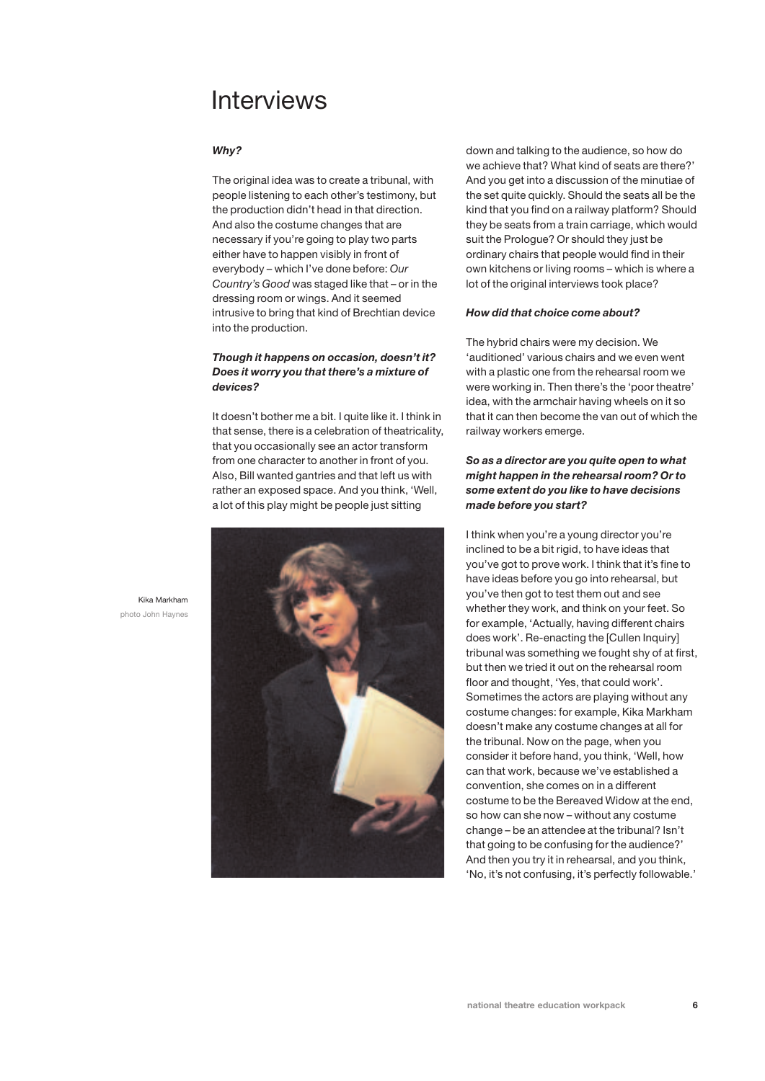### *Why?*

The original idea was to create a tribunal, with people listening to each other's testimony, but the production didn't head in that direction. And also the costume changes that are necessary if you're going to play two parts either have to happen visibly in front of everybody – which I've done before: *Our Country's Good* was staged like that – or in the dressing room or wings. And it seemed intrusive to bring that kind of Brechtian device into the production.

## *Though it happens on occasion, doesn't it? Does it worry you that there's a mixture of devices?*

It doesn't bother me a bit. I quite like it. I think in that sense, there is a celebration of theatricality, that you occasionally see an actor transform from one character to another in front of you. Also, Bill wanted gantries and that left us with rather an exposed space. And you think, 'Well, a lot of this play might be people just sitting



down and talking to the audience, so how do we achieve that? What kind of seats are there?' And you get into a discussion of the minutiae of the set quite quickly. Should the seats all be the kind that you find on a railway platform? Should they be seats from a train carriage, which would suit the Prologue? Or should they just be ordinary chairs that people would find in their own kitchens or living rooms – which is where a lot of the original interviews took place?

#### *How did that choice come about?*

The hybrid chairs were my decision. We 'auditioned' various chairs and we even went with a plastic one from the rehearsal room we were working in. Then there's the 'poor theatre' idea, with the armchair having wheels on it so that it can then become the van out of which the railway workers emerge.

## *So as a director are you quite open to what might happen in the rehearsal room? Or to some extent do you like to have decisions made before you start?*

I think when you're a young director you're inclined to be a bit rigid, to have ideas that you've got to prove work. I think that it's fine to have ideas before you go into rehearsal, but you've then got to test them out and see whether they work, and think on your feet. So for example, 'Actually, having different chairs does work'. Re-enacting the [Cullen Inquiry] tribunal was something we fought shy of at first, but then we tried it out on the rehearsal room floor and thought, 'Yes, that could work'. Sometimes the actors are playing without any costume changes: for example, Kika Markham doesn't make any costume changes at all for the tribunal. Now on the page, when you consider it before hand, you think, 'Well, how can that work, because we've established a convention, she comes on in a different costume to be the Bereaved Widow at the end, so how can she now – without any costume change – be an attendee at the tribunal? Isn't that going to be confusing for the audience?' And then you try it in rehearsal, and you think, 'No, it's not confusing, it's perfectly followable.'

Kika Markham photo John Haynes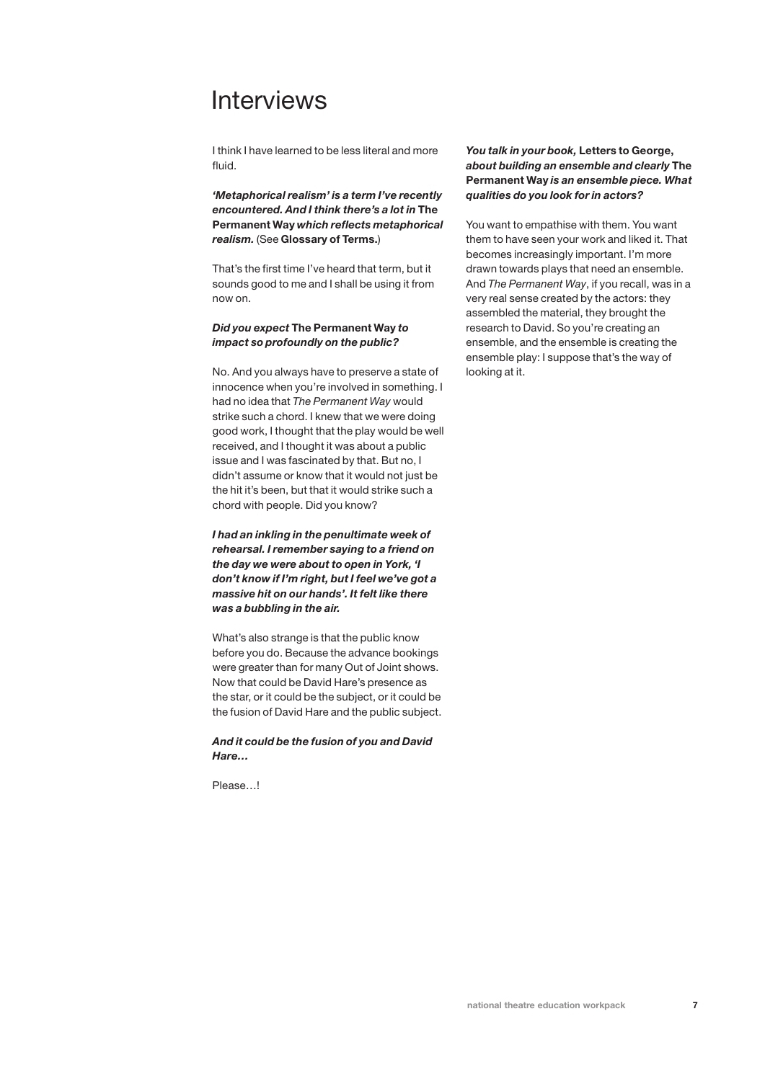I think I have learned to be less literal and more fluid.

*'Metaphorical realism' is a term I've recently encountered. And I think there's a lot in* **The Permanent Way** *which reflects metaphorical realism.* (See **Glossary of Terms.**)

That's the first time I've heard that term, but it sounds good to me and I shall be using it from now on.

### *Did you expect* **The Permanent Way** *to impact so profoundly on the public?*

No. And you always have to preserve a state of innocence when you're involved in something. I had no idea that *The Permanent Way* would strike such a chord. I knew that we were doing good work, I thought that the play would be well received, and I thought it was about a public issue and I was fascinated by that. But no, I didn't assume or know that it would not just be the hit it's been, but that it would strike such a chord with people. Did you know?

*I had an inkling in the penultimate week of rehearsal. I remember saying to a friend on the day we were about to open in York, 'I don't know if I'm right, but I feel we've got a massive hit on our hands'. It felt like there was a bubbling in the air.*

What's also strange is that the public know before you do. Because the advance bookings were greater than for many Out of Joint shows. Now that could be David Hare's presence as the star, or it could be the subject, or it could be the fusion of David Hare and the public subject.

*And it could be the fusion of you and David Hare…*

Please…!

## *You talk in your book,* **Letters to George,** *about building an ensemble and clearly* **The Permanent Way** *is an ensemble piece. What qualities do you look for in actors?*

You want to empathise with them. You want them to have seen your work and liked it. That becomes increasingly important. I'm more drawn towards plays that need an ensemble. And *The Permanent Way*, if you recall, was in a very real sense created by the actors: they assembled the material, they brought the research to David. So you're creating an ensemble, and the ensemble is creating the ensemble play: I suppose that's the way of looking at it.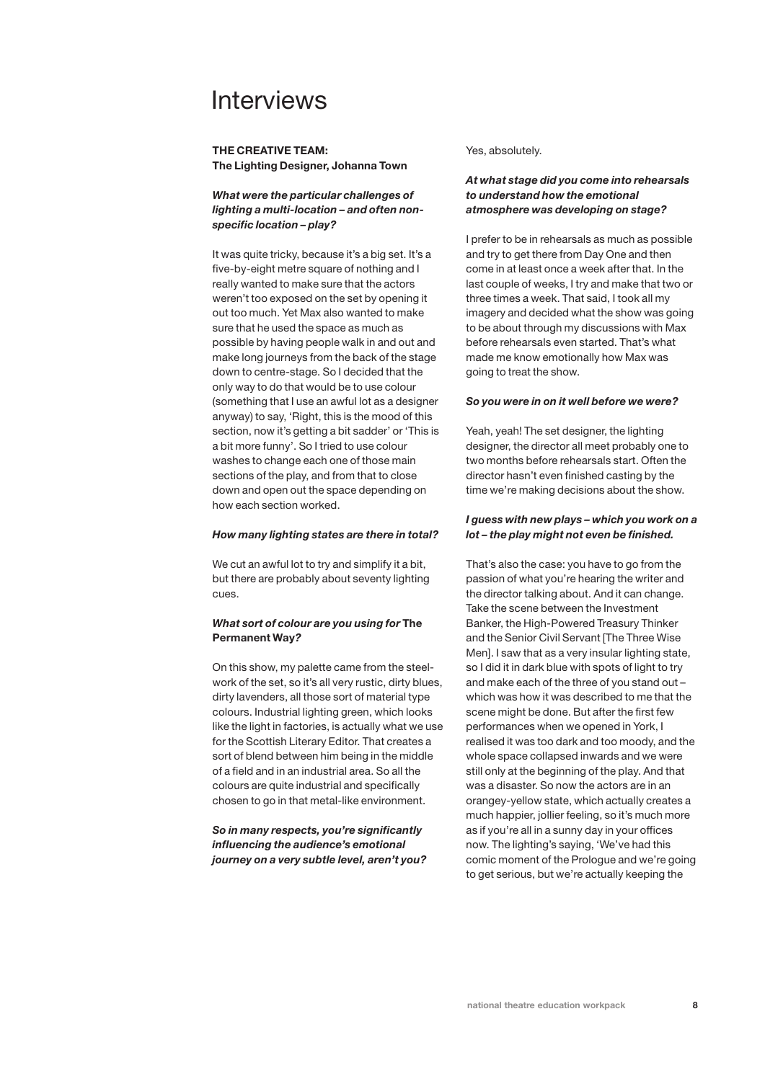### **THE CREATIVE TEAM: The Lighting Designer, Johanna Town**

## *What were the particular challenges of lighting a multi-location – and often nonspecific location – play?*

It was quite tricky, because it's a big set. It's a five-by-eight metre square of nothing and I really wanted to make sure that the actors weren't too exposed on the set by opening it out too much. Yet Max also wanted to make sure that he used the space as much as possible by having people walk in and out and make long journeys from the back of the stage down to centre-stage. So I decided that the only way to do that would be to use colour (something that I use an awful lot as a designer anyway) to say, 'Right, this is the mood of this section, now it's getting a bit sadder' or 'This is a bit more funny'. So I tried to use colour washes to change each one of those main sections of the play, and from that to close down and open out the space depending on how each section worked.

#### *How many lighting states are there in total?*

We cut an awful lot to try and simplify it a bit, but there are probably about seventy lighting cues.

## *What sort of colour are you using for* **The Permanent Way***?*

On this show, my palette came from the steelwork of the set, so it's all very rustic, dirty blues, dirty lavenders, all those sort of material type colours. Industrial lighting green, which looks like the light in factories, is actually what we use for the Scottish Literary Editor. That creates a sort of blend between him being in the middle of a field and in an industrial area. So all the colours are quite industrial and specifically chosen to go in that metal-like environment.

*So in many respects, you're significantly influencing the audience's emotional journey on a very subtle level, aren't you?* Yes, absolutely.

## *At what stage did you come into rehearsals to understand how the emotional atmosphere was developing on stage?*

I prefer to be in rehearsals as much as possible and try to get there from Day One and then come in at least once a week after that. In the last couple of weeks, I try and make that two or three times a week. That said, I took all my imagery and decided what the show was going to be about through my discussions with Max before rehearsals even started. That's what made me know emotionally how Max was going to treat the show.

### *So you were in on it well before we were?*

Yeah, yeah! The set designer, the lighting designer, the director all meet probably one to two months before rehearsals start. Often the director hasn't even finished casting by the time we're making decisions about the show.

### *I guess with new plays – which you work on a lot – the play might not even be finished.*

That's also the case: you have to go from the passion of what you're hearing the writer and the director talking about. And it can change. Take the scene between the Investment Banker, the High-Powered Treasury Thinker and the Senior Civil Servant [The Three Wise Men]. I saw that as a very insular lighting state, so I did it in dark blue with spots of light to try and make each of the three of you stand out – which was how it was described to me that the scene might be done. But after the first few performances when we opened in York, I realised it was too dark and too moody, and the whole space collapsed inwards and we were still only at the beginning of the play. And that was a disaster. So now the actors are in an orangey-yellow state, which actually creates a much happier, jollier feeling, so it's much more as if you're all in a sunny day in your offices now. The lighting's saying, 'We've had this comic moment of the Prologue and we're going to get serious, but we're actually keeping the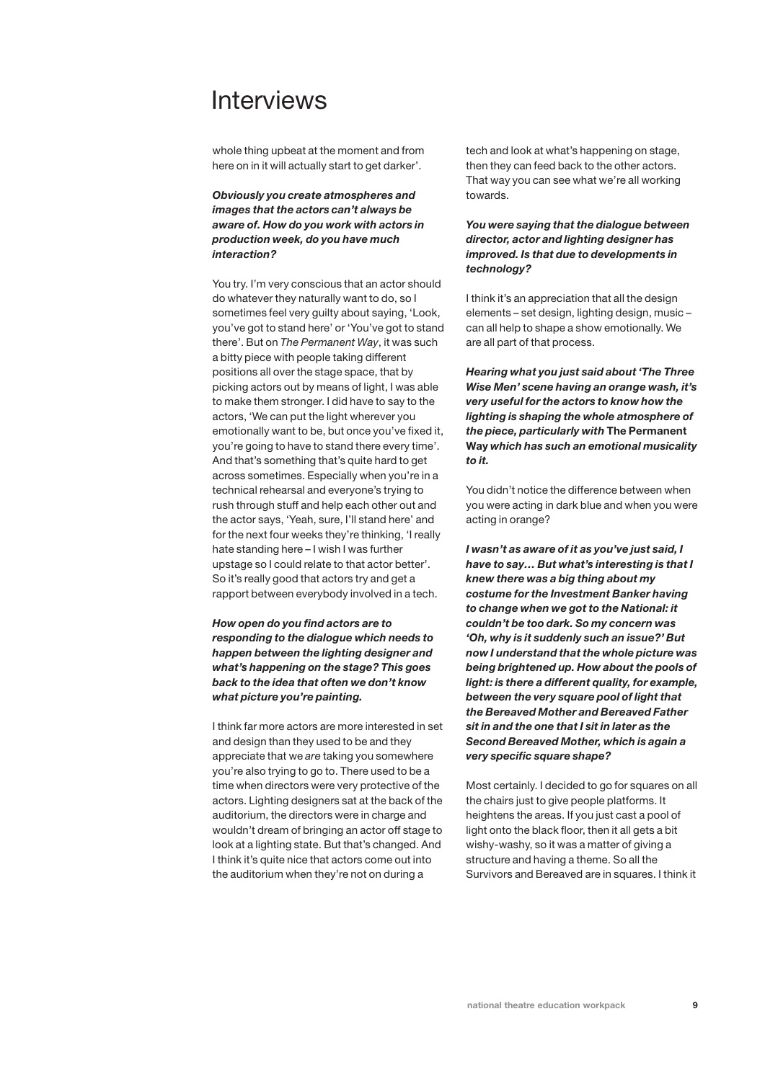whole thing upbeat at the moment and from here on in it will actually start to get darker'.

## *Obviously you create atmospheres and images that the actors can't always be aware of. How do you work with actors in production week, do you have much interaction?*

You try. I'm very conscious that an actor should do whatever they naturally want to do, so I sometimes feel very guilty about saying, 'Look, you've got to stand here' or 'You've got to stand there'. But on *The Permanent Way*, it was such a bitty piece with people taking different positions all over the stage space, that by picking actors out by means of light, I was able to make them stronger. I did have to say to the actors, 'We can put the light wherever you emotionally want to be, but once you've fixed it, you're going to have to stand there every time'. And that's something that's quite hard to get across sometimes. Especially when you're in a technical rehearsal and everyone's trying to rush through stuff and help each other out and the actor says, 'Yeah, sure, I'll stand here' and for the next four weeks they're thinking, 'I really hate standing here – I wish I was further upstage so I could relate to that actor better'. So it's really good that actors try and get a rapport between everybody involved in a tech.

*How open do you find actors are to responding to the dialogue which needs to happen between the lighting designer and what's happening on the stage? This goes back to the idea that often we don't know what picture you're painting.*

I think far more actors are more interested in set and design than they used to be and they appreciate that we *are* taking you somewhere you're also trying to go to. There used to be a time when directors were very protective of the actors. Lighting designers sat at the back of the auditorium, the directors were in charge and wouldn't dream of bringing an actor off stage to look at a lighting state. But that's changed. And I think it's quite nice that actors come out into the auditorium when they're not on during a

tech and look at what's happening on stage, then they can feed back to the other actors. That way you can see what we're all working towards.

## *You were saying that the dialogue between director, actor and lighting designer has improved. Is that due to developments in technology?*

I think it's an appreciation that all the design elements – set design, lighting design, music – can all help to shape a show emotionally. We are all part of that process.

*Hearing what you just said about 'The Three Wise Men' scene having an orange wash, it's very useful for the actors to know how the lighting is shaping the whole atmosphere of the piece, particularly with* **The Permanent Way** *which has such an emotional musicality to it.*

You didn't notice the difference between when you were acting in dark blue and when you were acting in orange?

*I wasn't as aware of it as you've just said, I have to say… But what's interesting is that I knew there was a big thing about my costume for the Investment Banker having to change when we got to the National: it couldn't be too dark. So my concern was 'Oh, why is it suddenly such an issue?' But now I understand that the whole picture was being brightened up. How about the pools of light: is there a different quality, for example, between the very square pool of light that the Bereaved Mother and Bereaved Father sit in and the one that I sit in later as the Second Bereaved Mother, which is again a very specific square shape?*

Most certainly. I decided to go for squares on all the chairs just to give people platforms. It heightens the areas. If you just cast a pool of light onto the black floor, then it all gets a bit wishy-washy, so it was a matter of giving a structure and having a theme. So all the Survivors and Bereaved are in squares. I think it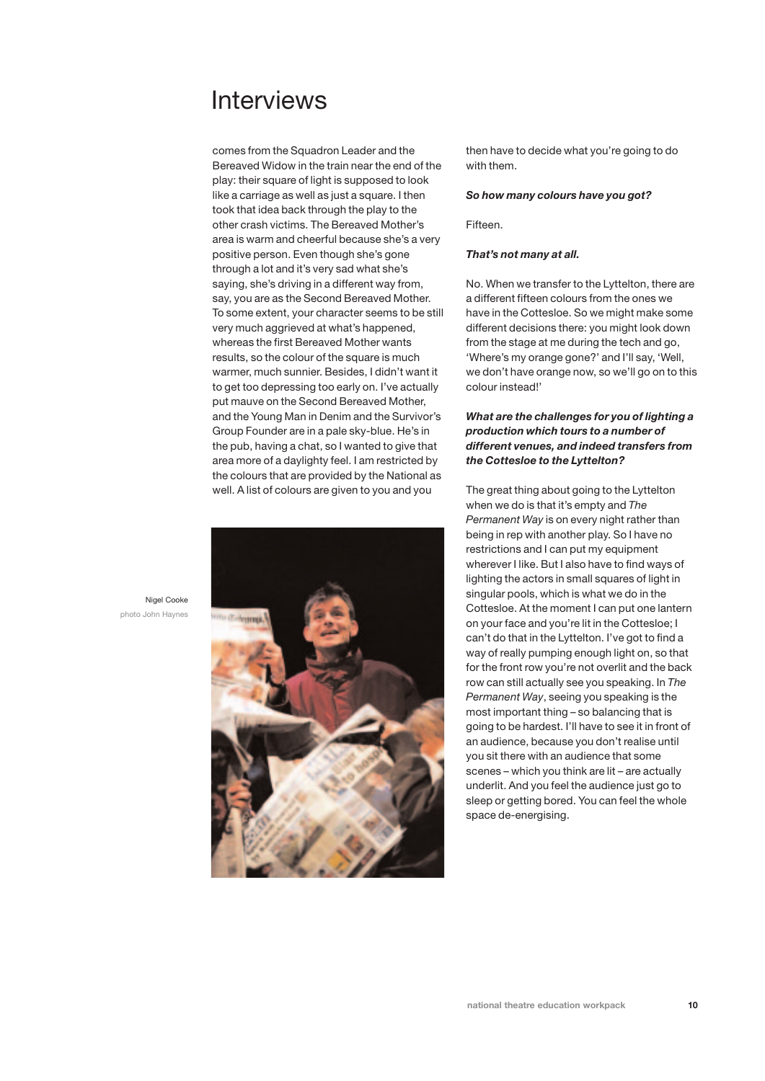comes from the Squadron Leader and the Bereaved Widow in the train near the end of the play: their square of light is supposed to look like a carriage as well as just a square. I then took that idea back through the play to the other crash victims. The Bereaved Mother's area is warm and cheerful because she's a very positive person. Even though she's gone through a lot and it's very sad what she's saying, she's driving in a different way from, say, you are as the Second Bereaved Mother. To some extent, your character seems to be still very much aggrieved at what's happened, whereas the first Bereaved Mother wants results, so the colour of the square is much warmer, much sunnier. Besides, I didn't want it to get too depressing too early on. I've actually put mauve on the Second Bereaved Mother, and the Young Man in Denim and the Survivor's Group Founder are in a pale sky-blue. He's in the pub, having a chat, so I wanted to give that area more of a daylighty feel. I am restricted by the colours that are provided by the National as well. A list of colours are given to you and you



then have to decide what you're going to do with them.

#### *So how many colours have you got?*

Fifteen.

#### *That's not many at all.*

No. When we transfer to the Lyttelton, there are a different fifteen colours from the ones we have in the Cottesloe. So we might make some different decisions there: you might look down from the stage at me during the tech and go, 'Where's my orange gone?' and I'll say, 'Well, we don't have orange now, so we'll go on to this colour instead!'

## *What are the challenges for you of lighting a production which tours to a number of different venues, and indeed transfers from the Cottesloe to the Lyttelton?*

The great thing about going to the Lyttelton when we do is that it's empty and *The Permanent Way* is on every night rather than being in rep with another play. So I have no restrictions and I can put my equipment wherever I like. But I also have to find ways of lighting the actors in small squares of light in singular pools, which is what we do in the Cottesloe. At the moment I can put one lantern on your face and you're lit in the Cottesloe; I can't do that in the Lyttelton. I've got to find a way of really pumping enough light on, so that for the front row you're not overlit and the back row can still actually see you speaking. In *The Permanent Way*, seeing you speaking is the most important thing – so balancing that is going to be hardest. I'll have to see it in front of an audience, because you don't realise until you sit there with an audience that some scenes – which you think are lit – are actually underlit. And you feel the audience just go to sleep or getting bored. You can feel the whole space de-energising.

Nigel Cooke photo John Haynes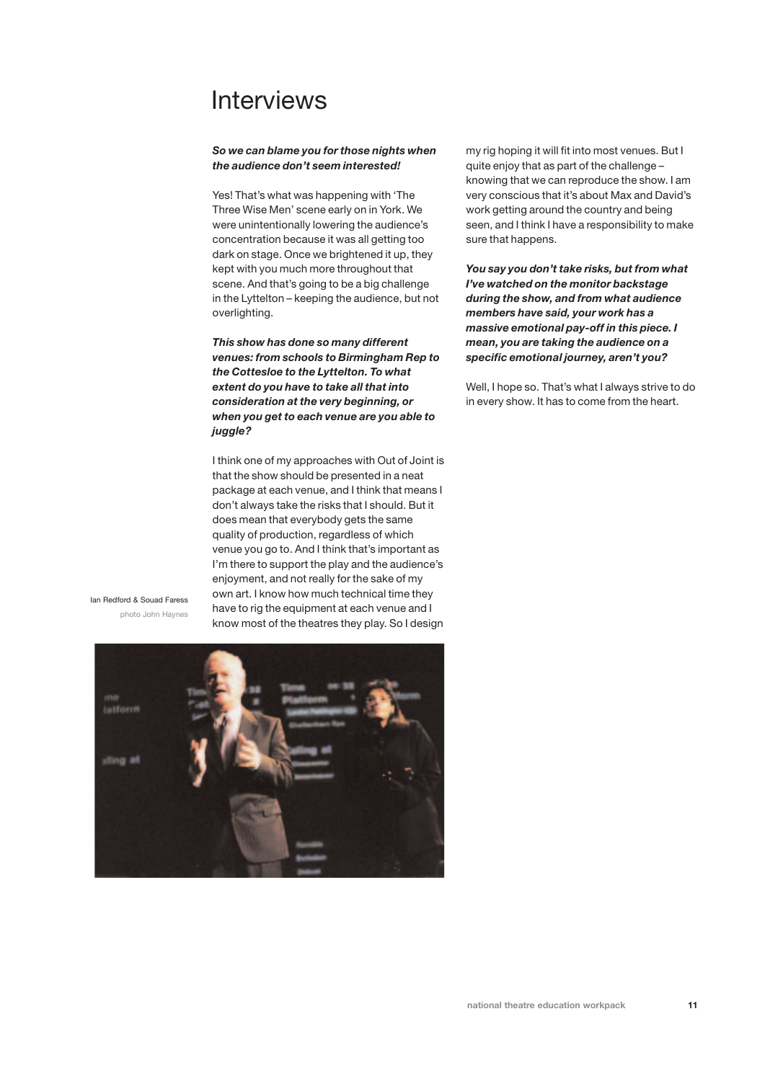### *So we can blame you for those nights when the audience don't seem interested!*

Yes! That's what was happening with 'The Three Wise Men' scene early on in York. We were unintentionally lowering the audience's concentration because it was all getting too dark on stage. Once we brightened it up, they kept with you much more throughout that scene. And that's going to be a big challenge in the Lyttelton – keeping the audience, but not overlighting.

*This show has done so many different venues: from schools to Birmingham Rep to the Cottesloe to the Lyttelton. To what extent do you have to take all that into consideration at the very beginning, or when you get to each venue are you able to juggle?*

I think one of my approaches with Out of Joint is that the show should be presented in a neat package at each venue, and I think that means I don't always take the risks that I should. But it does mean that everybody gets the same quality of production, regardless of which venue you go to. And I think that's important as I'm there to support the play and the audience's enjoyment, and not really for the sake of my own art. I know how much technical time they have to rig the equipment at each venue and I know most of the theatres they play. So I design

Ian Redford & Souad Faress photo John Haynes



my rig hoping it will fit into most venues. But I quite enjoy that as part of the challenge – knowing that we can reproduce the show. I am very conscious that it's about Max and David's work getting around the country and being seen, and I think I have a responsibility to make sure that happens.

*You say you don't take risks, but from what I've watched on the monitor backstage during the show, and from what audience members have said, your work has a massive emotional pay-off in this piece. I mean, you are taking the audience on a specific emotional journey, aren't you?*

Well, I hope so. That's what I always strive to do in every show. It has to come from the heart.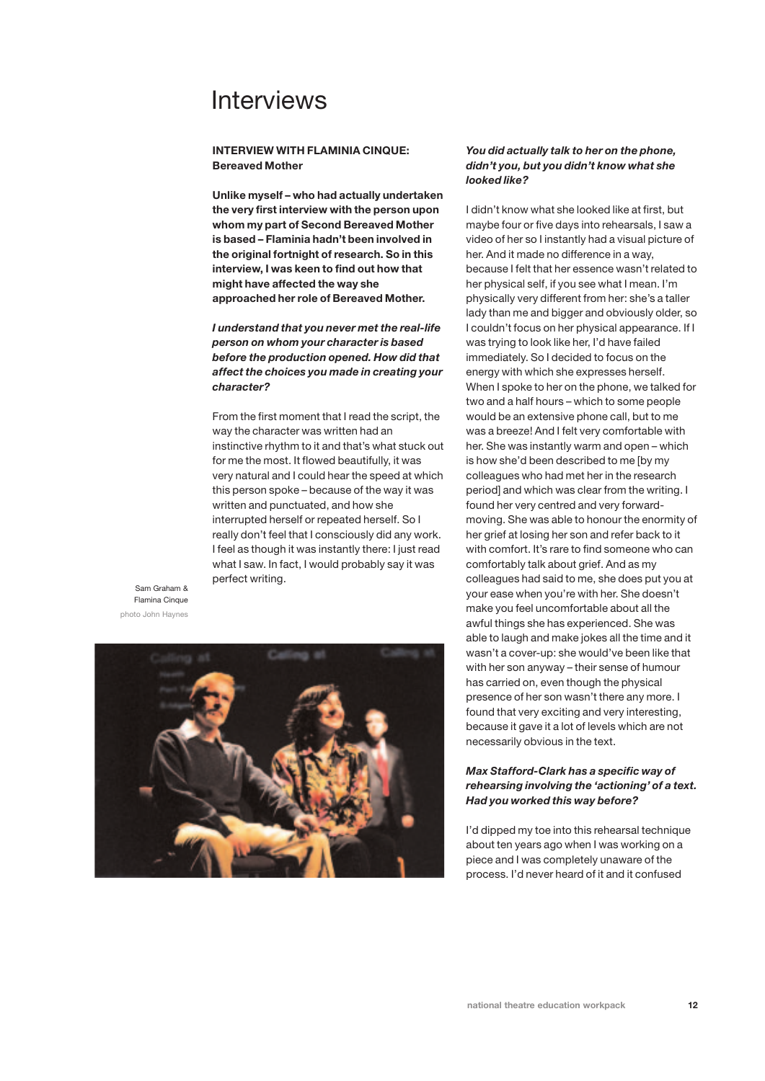## **INTERVIEW WITH FLAMINIA CINQUE: Bereaved Mother**

**Unlike myself – who had actually undertaken the very first interview with the person upon whom my part of Second Bereaved Mother is based – Flaminia hadn't been involved in the original fortnight of research. So in this interview, I was keen to find out how that might have affected the way she approached her role of Bereaved Mother.**

## *I understand that you never met the real-life person on whom your character is based before the production opened. How did that affect the choices you made in creating your character?*

From the first moment that I read the script, the way the character was written had an instinctive rhythm to it and that's what stuck out for me the most. It flowed beautifully, it was very natural and I could hear the speed at which this person spoke – because of the way it was written and punctuated, and how she interrupted herself or repeated herself. So I really don't feel that I consciously did any work. I feel as though it was instantly there: I just read what I saw. In fact, I would probably say it was perfect writing.

Sam Graham & Flamina Cinque photo John Haynes



## *You did actually talk to her on the phone, didn't you, but you didn't know what she looked like?*

I didn't know what she looked like at first, but maybe four or five days into rehearsals, I saw a video of her so I instantly had a visual picture of her. And it made no difference in a way, because I felt that her essence wasn't related to her physical self, if you see what I mean. I'm physically very different from her: she's a taller lady than me and bigger and obviously older, so I couldn't focus on her physical appearance. If I was trying to look like her, I'd have failed immediately. So I decided to focus on the energy with which she expresses herself. When I spoke to her on the phone, we talked for two and a half hours – which to some people would be an extensive phone call, but to me was a breeze! And I felt very comfortable with her. She was instantly warm and open – which is how she'd been described to me [by my colleagues who had met her in the research period] and which was clear from the writing. I found her very centred and very forwardmoving. She was able to honour the enormity of her grief at losing her son and refer back to it with comfort. It's rare to find someone who can comfortably talk about grief. And as my colleagues had said to me, she does put you at your ease when you're with her. She doesn't make you feel uncomfortable about all the awful things she has experienced. She was able to laugh and make jokes all the time and it wasn't a cover-up: she would've been like that with her son anyway – their sense of humour has carried on, even though the physical presence of her son wasn't there any more. I found that very exciting and very interesting, because it gave it a lot of levels which are not necessarily obvious in the text.

## *Max Stafford-Clark has a specific way of rehearsing involving the 'actioning' of a text. Had you worked this way before?*

I'd dipped my toe into this rehearsal technique about ten years ago when I was working on a piece and I was completely unaware of the process. I'd never heard of it and it confused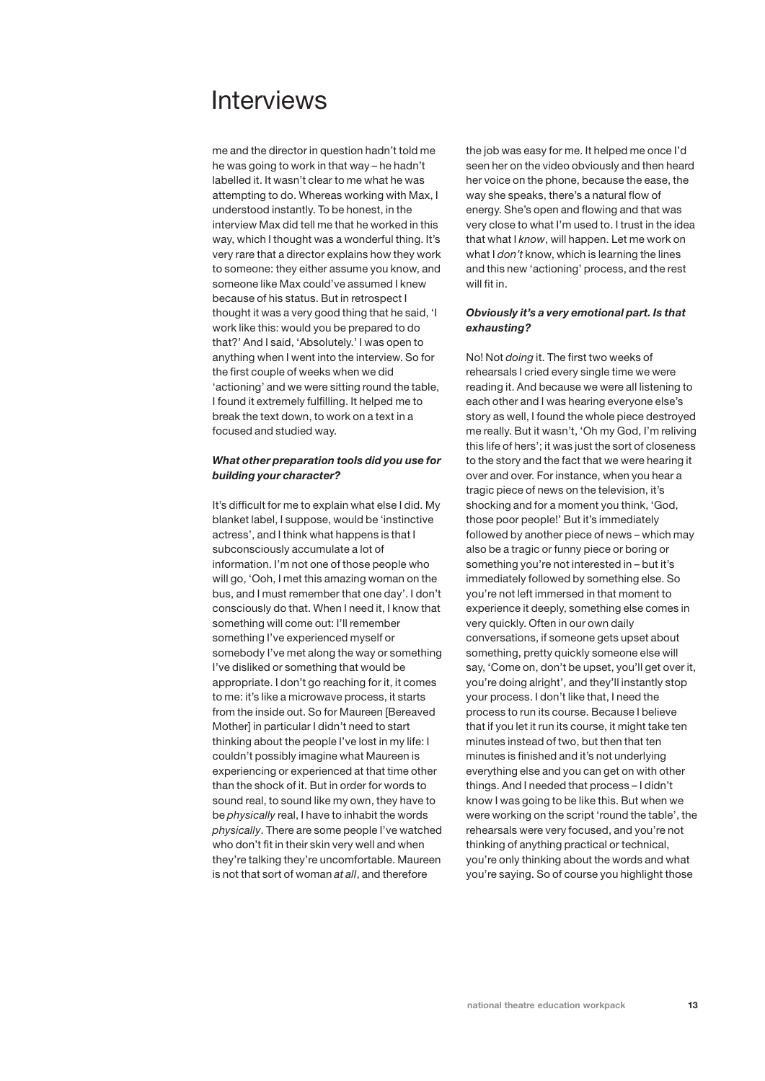me and the director in question hadn't told me he was going to work in that way – he hadn't labelled it. It wasn't clear to me what he was attempting to do. Whereas working with Max, I understood instantly. To be honest, in the interview Max did tell me that he worked in this way, which I thought was a wonderful thing. It's very rare that a director explains how they work to someone: they either assume you know, and someone like Max could've assumed I knew because of his status. But in retrospect I thought it was a very good thing that he said, 'I work like this: would you be prepared to do that?' And I said, 'Absolutely.' I was open to anything when I went into the interview. So for the first couple of weeks when we did 'actioning' and we were sitting round the table, I found it extremely fulfilling. It helped me to break the text down, to work on a text in a focused and studied way.

## *What other preparation tools did you use for building your character?*

It's difficult for me to explain what else I did. My blanket label, I suppose, would be 'instinctive actress', and I think what happens is that I subconsciously accumulate a lot of information. I'm not one of those people who will go, 'Ooh, I met this amazing woman on the bus, and I must remember that one day'. I don't consciously do that. When I need it, I know that something will come out: I'll remember something I've experienced myself or somebody I've met along the way or something I've disliked or something that would be appropriate. I don't go reaching for it, it comes to me: it's like a microwave process, it starts from the inside out. So for Maureen [Bereaved Mother] in particular I didn't need to start thinking about the people I've lost in my life: I couldn't possibly imagine what Maureen is experiencing or experienced at that time other than the shock of it. But in order for words to sound real, to sound like my own, they have to be *physically* real, I have to inhabit the words *physically*. There are some people I've watched who don't fit in their skin very well and when they're talking they're uncomfortable. Maureen is not that sort of woman *at all*, and therefore

the job was easy for me. It helped me once I'd seen her on the video obviously and then heard her voice on the phone, because the ease, the way she speaks, there's a natural flow of energy. She's open and flowing and that was very close to what I'm used to. I trust in the idea that what I *know*, will happen. Let me work on what I *don't* know, which is learning the lines and this new 'actioning' process, and the rest will fit in.

### *Obviously it's a very emotional part. Is that exhausting?*

No! Not *doing* it. The first two weeks of rehearsals I cried every single time we were reading it. And because we were all listening to each other and I was hearing everyone else's story as well, I found the whole piece destroyed me really. But it wasn't, 'Oh my God, I'm reliving this life of hers'; it was just the sort of closeness to the story and the fact that we were hearing it over and over. For instance, when you hear a tragic piece of news on the television, it's shocking and for a moment you think, 'God, those poor people!' But it's immediately followed by another piece of news – which may also be a tragic or funny piece or boring or something you're not interested in – but it's immediately followed by something else. So you're not left immersed in that moment to experience it deeply, something else comes in very quickly. Often in our own daily conversations, if someone gets upset about something, pretty quickly someone else will say, 'Come on, don't be upset, you'll get over it, you're doing alright', and they'll instantly stop your process. I don't like that, I need the process to run its course. Because I believe that if you let it run its course, it might take ten minutes instead of two, but then that ten minutes is finished and it's not underlying everything else and you can get on with other things. And I needed that process – I didn't know I was going to be like this. But when we were working on the script 'round the table', the rehearsals were very focused, and you're not thinking of anything practical or technical, you're only thinking about the words and what you're saying. So of course you highlight those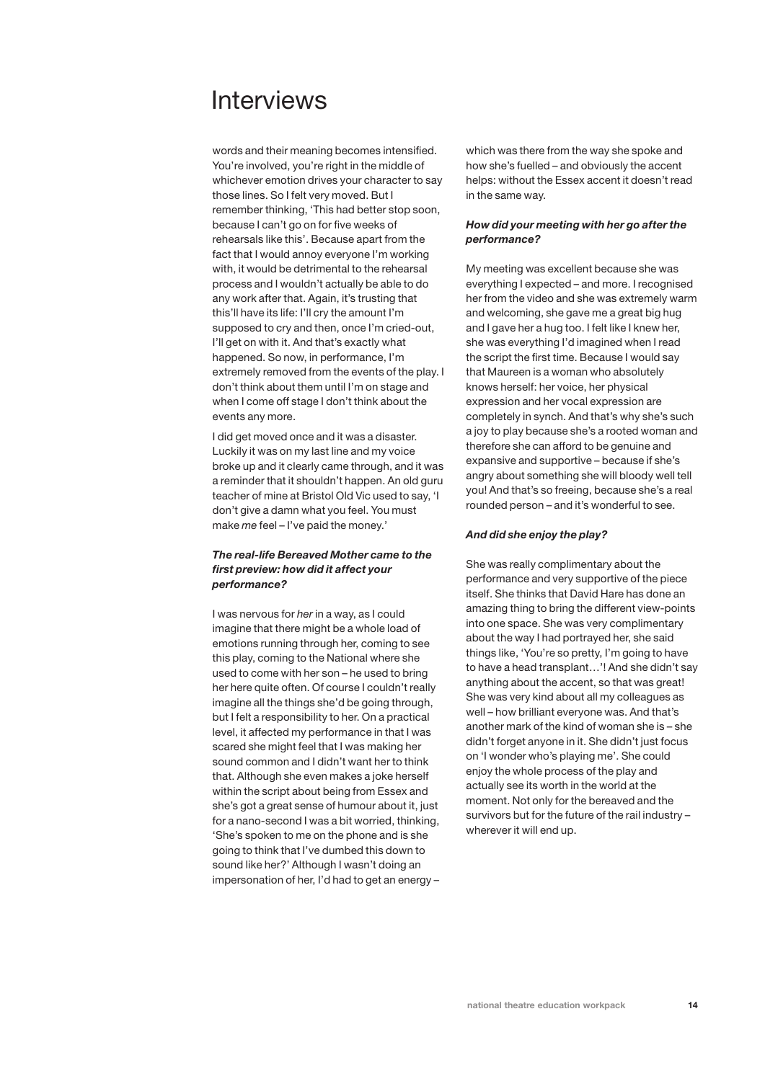words and their meaning becomes intensified. You're involved, you're right in the middle of whichever emotion drives your character to say those lines. So I felt very moved. But I remember thinking, 'This had better stop soon, because I can't go on for five weeks of rehearsals like this'. Because apart from the fact that I would annoy everyone I'm working with, it would be detrimental to the rehearsal process and I wouldn't actually be able to do any work after that. Again, it's trusting that this'll have its life: I'll cry the amount I'm supposed to cry and then, once I'm cried-out, I'll get on with it. And that's exactly what happened. So now, in performance, I'm extremely removed from the events of the play. I don't think about them until I'm on stage and when I come off stage I don't think about the events any more.

I did get moved once and it was a disaster. Luckily it was on my last line and my voice broke up and it clearly came through, and it was a reminder that it shouldn't happen. An old guru teacher of mine at Bristol Old Vic used to say, 'I don't give a damn what you feel. You must make *me* feel – I've paid the money.'

## *The real-life Bereaved Mother came to the first preview: how did it affect your performance?*

I was nervous for *her* in a way, as I could imagine that there might be a whole load of emotions running through her, coming to see this play, coming to the National where she used to come with her son – he used to bring her here quite often. Of course I couldn't really imagine all the things she'd be going through, but I felt a responsibility to her. On a practical level, it affected my performance in that I was scared she might feel that I was making her sound common and I didn't want her to think that. Although she even makes a joke herself within the script about being from Essex and she's got a great sense of humour about it, just for a nano-second I was a bit worried, thinking, 'She's spoken to me on the phone and is she going to think that I've dumbed this down to sound like her?' Although I wasn't doing an impersonation of her, I'd had to get an energy – which was there from the way she spoke and how she's fuelled – and obviously the accent helps: without the Essex accent it doesn't read in the same way.

## *How did your meeting with her go after the performance?*

My meeting was excellent because she was everything I expected – and more. I recognised her from the video and she was extremely warm and welcoming, she gave me a great big hug and I gave her a hug too. I felt like I knew her, she was everything I'd imagined when I read the script the first time. Because I would say that Maureen is a woman who absolutely knows herself: her voice, her physical expression and her vocal expression are completely in synch. And that's why she's such a joy to play because she's a rooted woman and therefore she can afford to be genuine and expansive and supportive – because if she's angry about something she will bloody well tell you! And that's so freeing, because she's a real rounded person – and it's wonderful to see.

### *And did she enjoy the play?*

She was really complimentary about the performance and very supportive of the piece itself. She thinks that David Hare has done an amazing thing to bring the different view-points into one space. She was very complimentary about the way I had portrayed her, she said things like, 'You're so pretty, I'm going to have to have a head transplant…'! And she didn't say anything about the accent, so that was great! She was very kind about all my colleagues as well – how brilliant everyone was. And that's another mark of the kind of woman she is – she didn't forget anyone in it. She didn't just focus on 'I wonder who's playing me'. She could enjoy the whole process of the play and actually see its worth in the world at the moment. Not only for the bereaved and the survivors but for the future of the rail industry – wherever it will end up.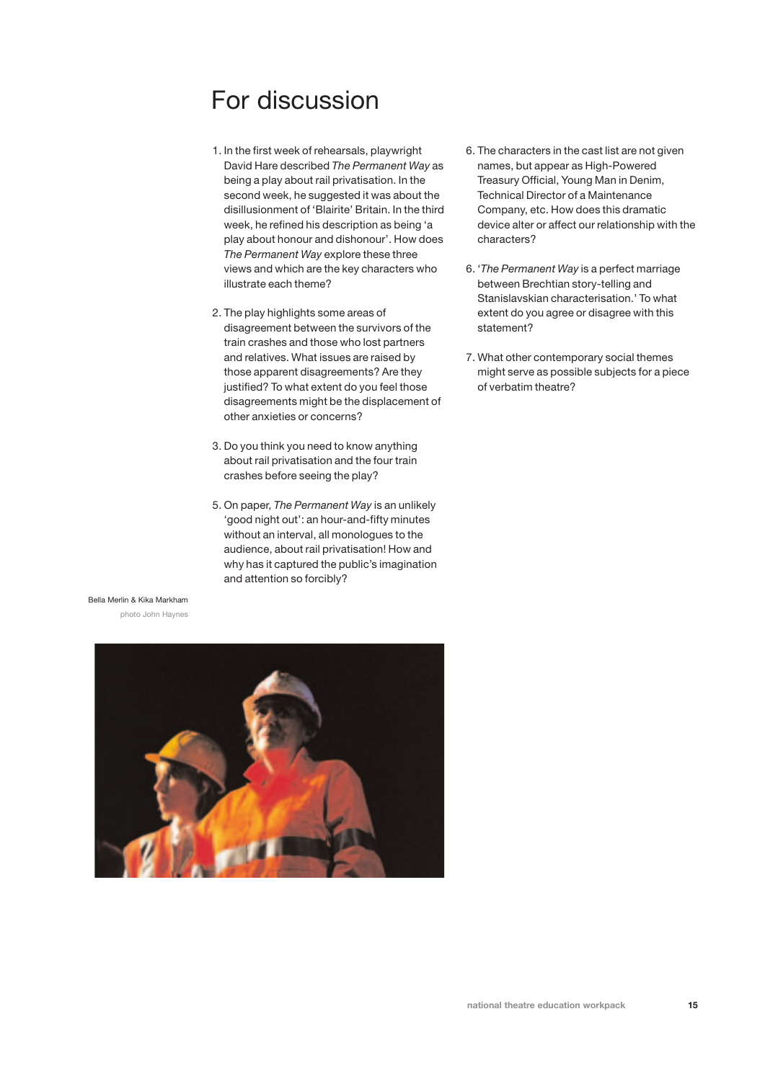# For discussion

- 1. In the first week of rehearsals, playwright David Hare described *The Permanent Way* as being a play about rail privatisation. In the second week, he suggested it was about the disillusionment of 'Blairite' Britain. In the third week, he refined his description as being 'a play about honour and dishonour'. How does *The Permanent Way* explore these three views and which are the key characters who illustrate each theme?
- 2. The play highlights some areas of disagreement between the survivors of the train crashes and those who lost partners and relatives. What issues are raised by those apparent disagreements? Are they justified? To what extent do you feel those disagreements might be the displacement of other anxieties or concerns?
- 3. Do you think you need to know anything about rail privatisation and the four train crashes before seeing the play?
- 5. On paper, *The Permanent Way* is an unlikely 'good night out': an hour-and-fifty minutes without an interval, all monologues to the audience, about rail privatisation! How and why has it captured the public's imagination and attention so forcibly?
- 6. The characters in the cast list are not given names, but appear as High-Powered Treasury Official, Young Man in Denim, Technical Director of a Maintenance Company, etc. How does this dramatic device alter or affect our relationship with the characters?
- 6. '*The Permanent Way* is a perfect marriage between Brechtian story-telling and Stanislavskian characterisation.' To what extent do you agree or disagree with this statement?
- 7. What other contemporary social themes might serve as possible subjects for a piece of verbatim theatre?

### Bella Merlin & Kika Markham

photo John Haynes

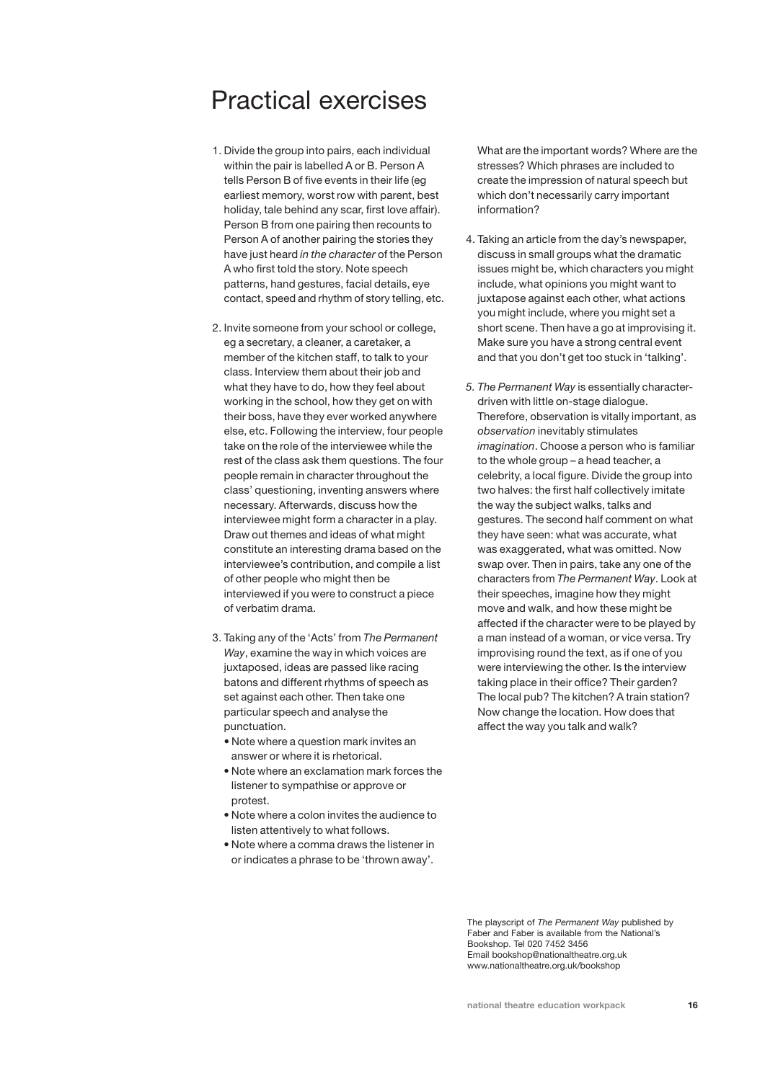# Practical exercises

- 1. Divide the group into pairs, each individual within the pair is labelled A or B. Person A tells Person B of five events in their life (eg earliest memory, worst row with parent, best holiday, tale behind any scar, first love affair). Person B from one pairing then recounts to Person A of another pairing the stories they have just heard *in the character* of the Person A who first told the story. Note speech patterns, hand gestures, facial details, eye contact, speed and rhythm of story telling, etc.
- 2. Invite someone from your school or college, eg a secretary, a cleaner, a caretaker, a member of the kitchen staff, to talk to your class. Interview them about their job and what they have to do, how they feel about working in the school, how they get on with their boss, have they ever worked anywhere else, etc. Following the interview, four people take on the role of the interviewee while the rest of the class ask them questions. The four people remain in character throughout the class' questioning, inventing answers where necessary. Afterwards, discuss how the interviewee might form a character in a play. Draw out themes and ideas of what might constitute an interesting drama based on the interviewee's contribution, and compile a list of other people who might then be interviewed if you were to construct a piece of verbatim drama.
- 3. Taking any of the 'Acts' from *The Permanent Way*, examine the way in which voices are juxtaposed, ideas are passed like racing batons and different rhythms of speech as set against each other. Then take one particular speech and analyse the punctuation.
	- Note where a question mark invites an answer or where it is rhetorical.
	- Note where an exclamation mark forces the listener to sympathise or approve or protest.
	- Note where a colon invites the audience to listen attentively to what follows.
	- Note where a comma draws the listener in or indicates a phrase to be 'thrown away'.

What are the important words? Where are the stresses? Which phrases are included to create the impression of natural speech but which don't necessarily carry important information?

- 4. Taking an article from the day's newspaper, discuss in small groups what the dramatic issues might be, which characters you might include, what opinions you might want to juxtapose against each other, what actions you might include, where you might set a short scene. Then have a go at improvising it. Make sure you have a strong central event and that you don't get too stuck in 'talking'.
- *5. The Permanent Way* is essentially characterdriven with little on-stage dialogue. Therefore, observation is vitally important, as *observation* inevitably stimulates *imagination*. Choose a person who is familiar to the whole group – a head teacher, a celebrity, a local figure. Divide the group into two halves: the first half collectively imitate the way the subject walks, talks and gestures. The second half comment on what they have seen: what was accurate, what was exaggerated, what was omitted. Now swap over. Then in pairs, take any one of the characters from *The Permanent Way*. Look at their speeches, imagine how they might move and walk, and how these might be affected if the character were to be played by a man instead of a woman, or vice versa. Try improvising round the text, as if one of you were interviewing the other. Is the interview taking place in their office? Their garden? The local pub? The kitchen? A train station? Now change the location. How does that affect the way you talk and walk?

The playscript of *The Permanent Way* published by Faber and Faber is available from the National's Bookshop. Tel 020 7452 3456 Email bookshop@nationaltheatre.org.uk www.nationaltheatre.org.uk/bookshop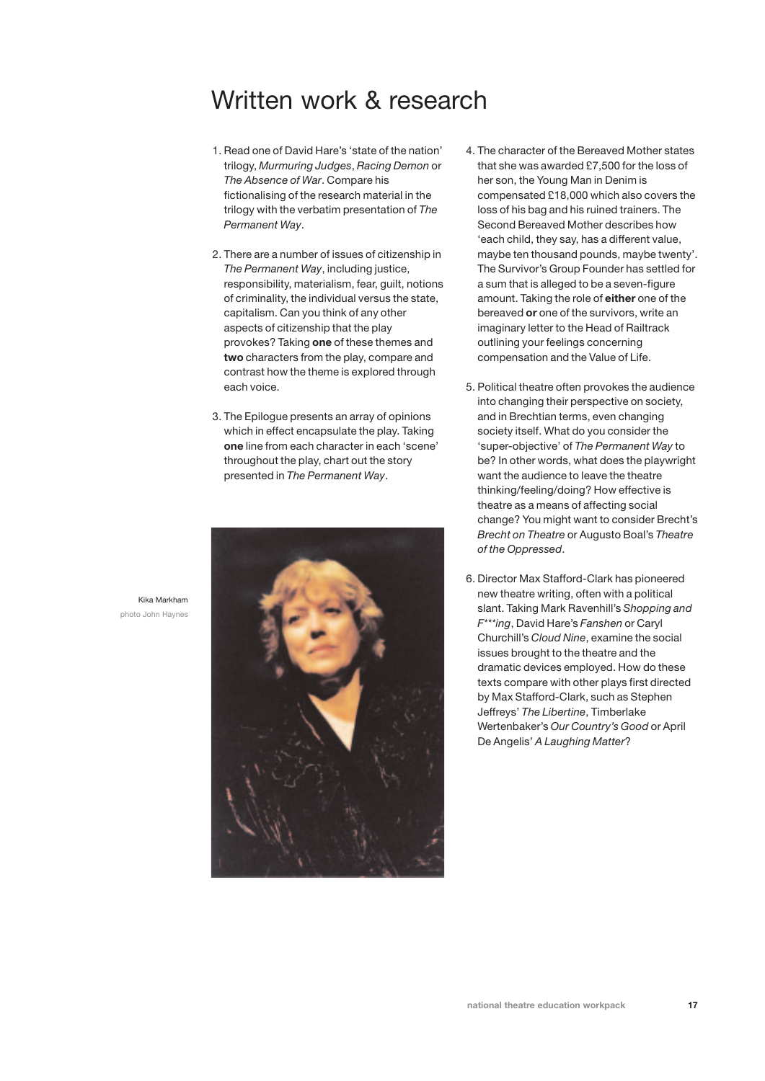## Written work & research

- 1. Read one of David Hare's 'state of the nation' trilogy, *Murmuring Judges*, *Racing Demon* or *The Absence of War*. Compare his fictionalising of the research material in the trilogy with the verbatim presentation of *The Permanent Way*.
- 2. There are a number of issues of citizenship in *The Permanent Way*, including justice, responsibility, materialism, fear, guilt, notions of criminality, the individual versus the state, capitalism. Can you think of any other aspects of citizenship that the play provokes? Taking **one** of these themes and **two** characters from the play, compare and contrast how the theme is explored through each voice.
- 3. The Epilogue presents an array of opinions which in effect encapsulate the play. Taking **one** line from each character in each 'scene' throughout the play, chart out the story presented in *The Permanent Way*.



- 4. The character of the Bereaved Mother states that she was awarded £7,500 for the loss of her son, the Young Man in Denim is compensated £18,000 which also covers the loss of his bag and his ruined trainers. The Second Bereaved Mother describes how 'each child, they say, has a different value, maybe ten thousand pounds, maybe twenty'. The Survivor's Group Founder has settled for a sum that is alleged to be a seven-figure amount. Taking the role of **either** one of the bereaved **or** one of the survivors, write an imaginary letter to the Head of Railtrack outlining your feelings concerning compensation and the Value of Life.
- 5. Political theatre often provokes the audience into changing their perspective on society, and in Brechtian terms, even changing society itself. What do you consider the 'super-objective' of *The Permanent Way* to be? In other words, what does the playwright want the audience to leave the theatre thinking/feeling/doing? How effective is theatre as a means of affecting social change? You might want to consider Brecht's *Brecht on Theatre* or Augusto Boal's *Theatre of the Oppressed*.
- 6. Director Max Stafford-Clark has pioneered new theatre writing, often with a political slant. Taking Mark Ravenhill's *Shopping and F\*\*\*ing*, David Hare's *Fanshen* or Caryl Churchill's *Cloud Nine*, examine the social issues brought to the theatre and the dramatic devices employed. How do these texts compare with other plays first directed by Max Stafford-Clark, such as Stephen Jeffreys' *The Libertine*, Timberlake Wertenbaker's *Our Country's Good* or April De Angelis' *A Laughing Matter*?

Kika Markham photo John Haynes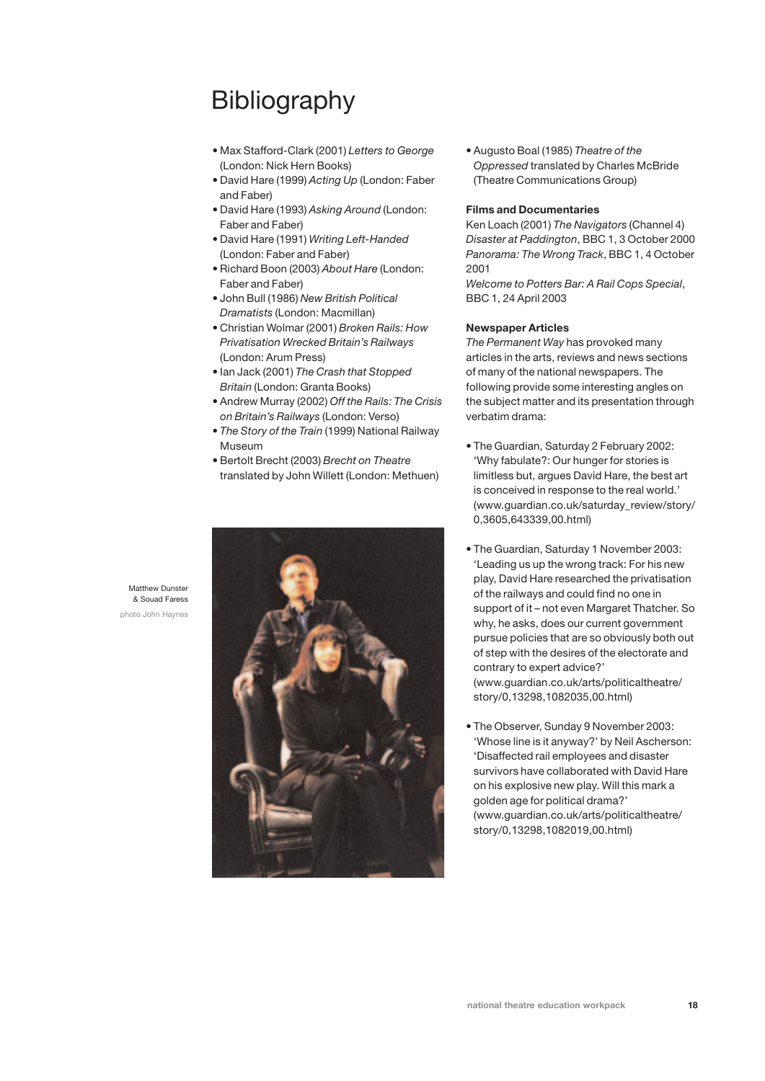# **Bibliography**

- Max Stafford-Clark (2001) *Letters to George* (London: Nick Hern Books)
- David Hare (1999) *Acting Up* (London: Faber and Faber)
- David Hare (1993) *Asking Around* (London: Faber and Faber)
- David Hare (1991) *Writing Left-Handed* (London: Faber and Faber)
- Richard Boon (2003) *About Hare* (London: Faber and Faber)
- John Bull (1986) *New British Political Dramatists* (London: Macmillan)
- Christian Wolmar (2001) *Broken Rails: How Privatisation Wrecked Britain's Railways* (London: Arum Press)
- Ian Jack (2001) *The Crash that Stopped Britain* (London: Granta Books)
- Andrew Murray (2002) *Off the Rails: The Crisis on Britain's Railways* (London: Verso)
- *The Story of the Train* (1999) National Railway Museum
- Bertolt Brecht (2003) *Brecht on Theatre* translated by John Willett (London: Methuen)



• Augusto Boal (1985) *Theatre of the Oppressed* translated by Charles McBride (Theatre Communications Group)

#### **Films and Documentaries**

Ken Loach (2001) *The Navigators* (Channel 4) *Disaster at Paddington*, BBC 1, 3 October 2000 *Panorama: The Wrong Track*, BBC 1, 4 October 2001

*Welcome to Potters Bar: A Rail Cops Special*, BBC 1, 24 April 2003

### **Newspaper Articles**

*The Permanent Way* has provoked many articles in the arts, reviews and news sections of many of the national newspapers. The following provide some interesting angles on the subject matter and its presentation through verbatim drama:

- The Guardian, Saturday 2 February 2002: 'Why fabulate?: Our hunger for stories is limitless but, argues David Hare, the best art is conceived in response to the real world.' (www.guardian.co.uk/saturday\_review/story/ 0,3605,643339,00.html)
- The Guardian, Saturday 1 November 2003: 'Leading us up the wrong track: For his new play, David Hare researched the privatisation of the railways and could find no one in support of it – not even Margaret Thatcher. So why, he asks, does our current government pursue policies that are so obviously both out of step with the desires of the electorate and contrary to expert advice?' (www.guardian.co.uk/arts/politicaltheatre/ story/0,13298,1082035,00.html)
- The Observer, Sunday 9 November 2003: 'Whose line is it anyway?' by Neil Ascherson: 'Disaffected rail employees and disaster survivors have collaborated with David Hare on his explosive new play. Will this mark a golden age for political drama?' (www.guardian.co.uk/arts/politicaltheatre/ story/0,13298,1082019,00.html)

**national theatre education workpack 18**

Matthew Dunster & Souad Faress photo John Haynes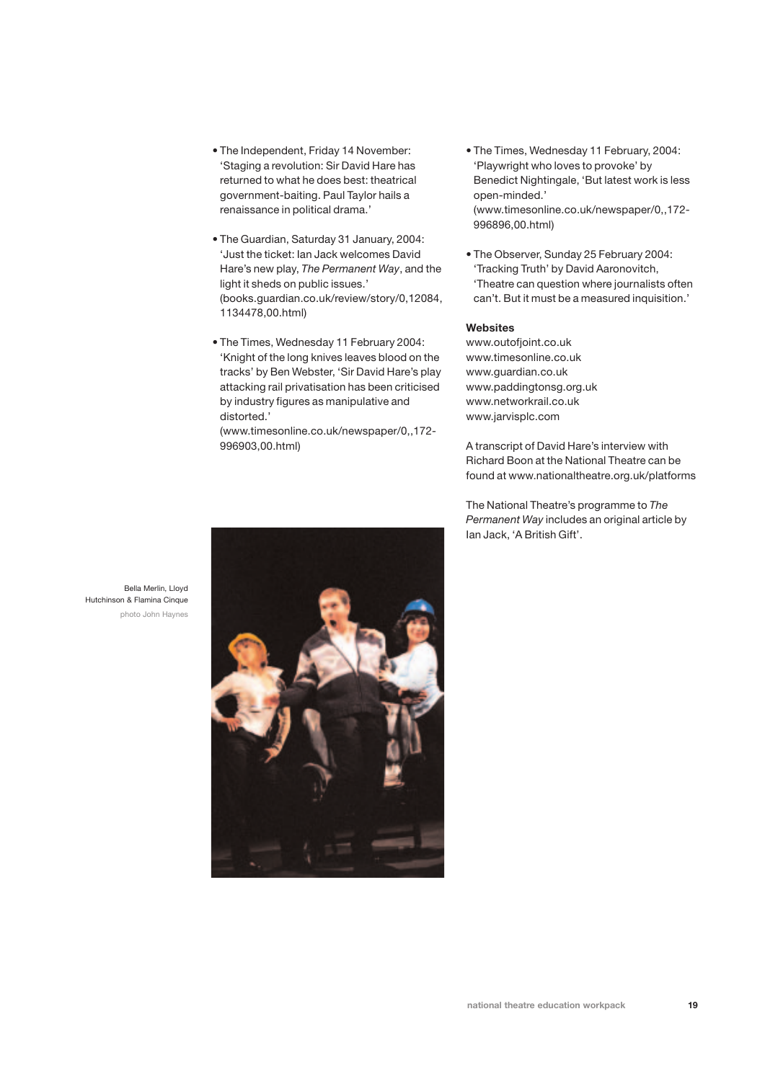- The Independent, Friday 14 November: 'Staging a revolution: Sir David Hare has returned to what he does best: theatrical government-baiting. Paul Taylor hails a renaissance in political drama.'
- The Guardian, Saturday 31 January, 2004: 'Just the ticket: Ian Jack welcomes David Hare's new play, *The Permanent Way*, and the light it sheds on public issues.' (books.guardian.co.uk/review/story/0,12084, 1134478,00.html)
- The Times, Wednesday 11 February 2004: 'Knight of the long knives leaves blood on the tracks' by Ben Webster, 'Sir David Hare's play attacking rail privatisation has been criticised by industry figures as manipulative and distorted.'

(www.timesonline.co.uk/newspaper/0,,172- 996903,00.html)

- The Times, Wednesday 11 February, 2004: 'Playwright who loves to provoke' by Benedict Nightingale, 'But latest work is less open-minded.' (www.timesonline.co.uk/newspaper/0,,172- 996896,00.html)
- The Observer, Sunday 25 February 2004: 'Tracking Truth' by David Aaronovitch, 'Theatre can question where journalists often can't. But it must be a measured inquisition.'

### **Websites**

www.outofjoint.co.uk www.timesonline.co.uk www.guardian.co.uk www.paddingtonsg.org.uk www.networkrail.co.uk www.jarvisplc.com

A transcript of David Hare's interview with Richard Boon at the National Theatre can be found at www.nationaltheatre.org.uk/platforms

The National Theatre's programme to *The Permanent Way* includes an original article by Ian Jack, 'A British Gift'.